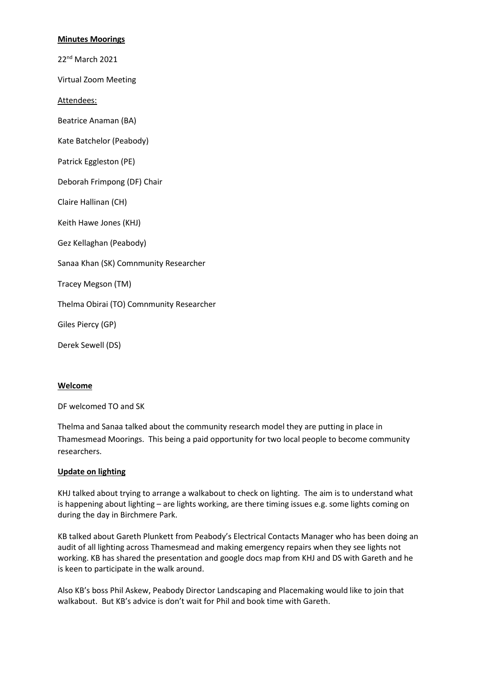## **Minutes Moorings**

22nd March 2021

Virtual Zoom Meeting

Attendees:

Beatrice Anaman (BA)

Kate Batchelor (Peabody)

Patrick Eggleston (PE)

Deborah Frimpong (DF) Chair

Claire Hallinan (CH)

Keith Hawe Jones (KHJ)

Gez Kellaghan (Peabody)

Sanaa Khan (SK) Comnmunity Researcher

Tracey Megson (TM)

Thelma Obirai (TO) Comnmunity Researcher

Giles Piercy (GP)

Derek Sewell (DS)

### **Welcome**

DF welcomed TO and SK

Thelma and Sanaa talked about the community research model they are putting in place in Thamesmead Moorings. This being a paid opportunity for two local people to become community researchers.

### **Update on lighting**

KHJ talked about trying to arrange a walkabout to check on lighting. The aim is to understand what is happening about lighting – are lights working, are there timing issues e.g. some lights coming on during the day in Birchmere Park.

KB talked about Gareth Plunkett from Peabody's Electrical Contacts Manager who has been doing an audit of all lighting across Thamesmead and making emergency repairs when they see lights not working. KB has shared the presentation and google docs map from KHJ and DS with Gareth and he is keen to participate in the walk around.

Also KB's boss Phil Askew, Peabody Director Landscaping and Placemaking would like to join that walkabout. But KB's advice is don't wait for Phil and book time with Gareth.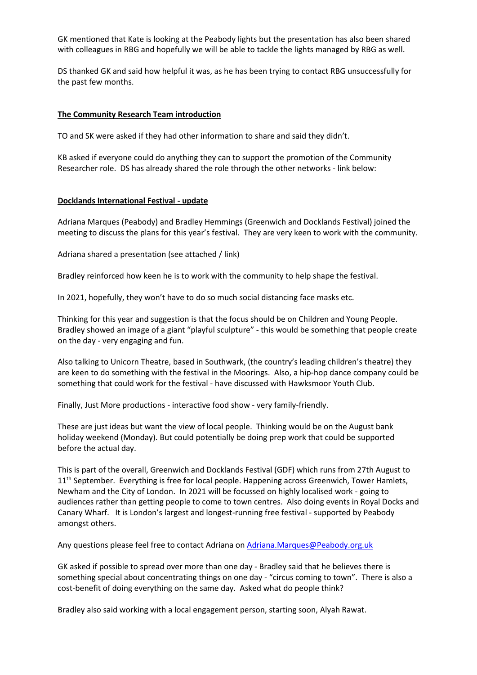GK mentioned that Kate is looking at the Peabody lights but the presentation has also been shared with colleagues in RBG and hopefully we will be able to tackle the lights managed by RBG as well.

DS thanked GK and said how helpful it was, as he has been trying to contact RBG unsuccessfully for the past few months.

## **The Community Research Team introduction**

TO and SK were asked if they had other information to share and said they didn't.

KB asked if everyone could do anything they can to support the promotion of the Community Researcher role. DS has already shared the role through the other networks - link below:

### **Docklands International Festival - update**

Adriana Marques (Peabody) and Bradley Hemmings (Greenwich and Docklands Festival) joined the meeting to discuss the plans for this year's festival. They are very keen to work with the community.

Adriana shared a presentation (see attached / link)

Bradley reinforced how keen he is to work with the community to help shape the festival.

In 2021, hopefully, they won't have to do so much social distancing face masks etc.

Thinking for this year and suggestion is that the focus should be on Children and Young People. Bradley showed an image of a giant "playful sculpture" - this would be something that people create on the day - very engaging and fun.

Also talking to Unicorn Theatre, based in Southwark, (the country's leading children's theatre) they are keen to do something with the festival in the Moorings. Also, a hip-hop dance company could be something that could work for the festival - have discussed with Hawksmoor Youth Club.

Finally, Just More productions - interactive food show - very family-friendly.

These are just ideas but want the view of local people. Thinking would be on the August bank holiday weekend (Monday). But could potentially be doing prep work that could be supported before the actual day.

This is part of the overall, Greenwich and Docklands Festival (GDF) which runs from 27th August to 11<sup>th</sup> September. Everything is free for local people. Happening across Greenwich, Tower Hamlets, Newham and the City of London. In 2021 will be focussed on highly localised work - going to audiences rather than getting people to come to town centres. Also doing events in Royal Docks and Canary Wharf. It is London's largest and longest-running free festival - supported by Peabody amongst others.

Any questions please feel free to contact Adriana on **Adriana.Marques@Peabody.org.uk** 

GK asked if possible to spread over more than one day - Bradley said that he believes there is something special about concentrating things on one day - "circus coming to town". There is also a cost-benefit of doing everything on the same day. Asked what do people think?

Bradley also said working with a local engagement person, starting soon, Alyah Rawat.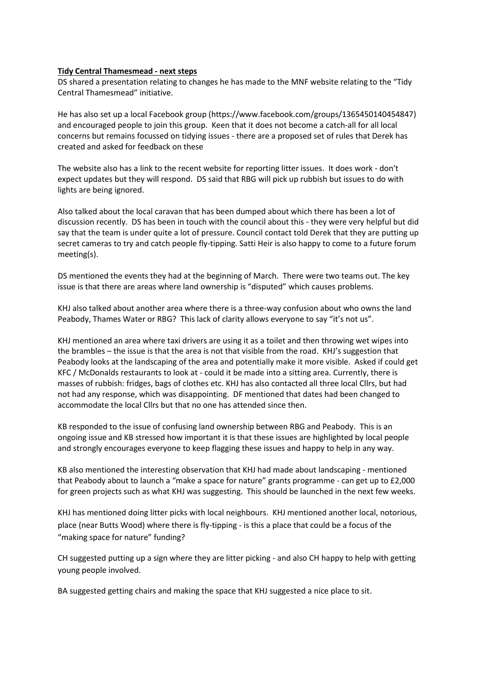## **Tidy Central Thamesmead - next steps**

DS shared a presentation relating to changes he has made to the MNF website relating to the "Tidy Central Thamesmead" initiative.

He has also set up a local Facebook group (https://www.facebook.com/groups/1365450140454847) and encouraged people to join this group. Keen that it does not become a catch-all for all local concerns but remains focussed on tidying issues - there are a proposed set of rules that Derek has created and asked for feedback on these

The website also has a link to the recent website for reporting litter issues. It does work - don't expect updates but they will respond. DS said that RBG will pick up rubbish but issues to do with lights are being ignored.

Also talked about the local caravan that has been dumped about which there has been a lot of discussion recently. DS has been in touch with the council about this - they were very helpful but did say that the team is under quite a lot of pressure. Council contact told Derek that they are putting up secret cameras to try and catch people fly-tipping. Satti Heir is also happy to come to a future forum meeting(s).

DS mentioned the events they had at the beginning of March. There were two teams out. The key issue is that there are areas where land ownership is "disputed" which causes problems.

KHJ also talked about another area where there is a three-way confusion about who owns the land Peabody, Thames Water or RBG? This lack of clarity allows everyone to say "it's not us".

KHJ mentioned an area where taxi drivers are using it as a toilet and then throwing wet wipes into the brambles – the issue is that the area is not that visible from the road. KHJ's suggestion that Peabody looks at the landscaping of the area and potentially make it more visible. Asked if could get KFC / McDonalds restaurants to look at - could it be made into a sitting area. Currently, there is masses of rubbish: fridges, bags of clothes etc. KHJ has also contacted all three local Cllrs, but had not had any response, which was disappointing. DF mentioned that dates had been changed to accommodate the local Cllrs but that no one has attended since then.

KB responded to the issue of confusing land ownership between RBG and Peabody. This is an ongoing issue and KB stressed how important it is that these issues are highlighted by local people and strongly encourages everyone to keep flagging these issues and happy to help in any way.

KB also mentioned the interesting observation that KHJ had made about landscaping - mentioned that Peabody about to launch a "make a space for nature" grants programme - can get up to £2,000 for green projects such as what KHJ was suggesting. This should be launched in the next few weeks.

KHJ has mentioned doing litter picks with local neighbours. KHJ mentioned another local, notorious, place (near Butts Wood) where there is fly-tipping - is this a place that could be a focus of the "making space for nature" funding?

CH suggested putting up a sign where they are litter picking - and also CH happy to help with getting young people involved.

BA suggested getting chairs and making the space that KHJ suggested a nice place to sit.